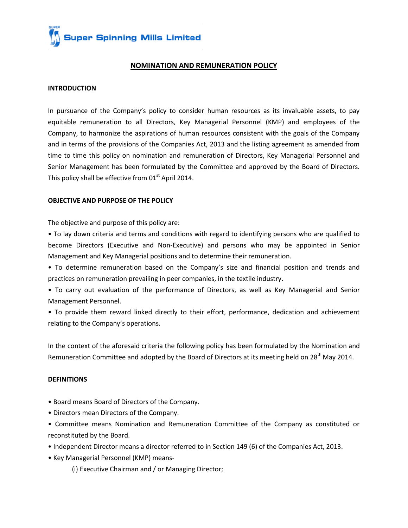

# **NOMINATION AND REMUNERATION POLICY**

### **INTRODUCTION**

In pursuance of the Company's policy to consider human resources as its invaluable assets, to pay equitable remuneration to all Directors, Key Managerial Personnel (KMP) and employees of the Company, to harmonize the aspirations of human resources consistent with the goals of the Company and in terms of the provisions of the Companies Act, 2013 and the listing agreement as amended from time to time this policy on nomination and remuneration of Directors, Key Managerial Personnel and Senior Management has been formulated by the Committee and approved by the Board of Directors. This policy shall be effective from 01<sup>st</sup> April 2014.

#### **OBJECTIVE AND PURPOSE OF THE POLICY**

The objective and purpose of this policy are:

• To lay down criteria and terms and conditions with regard to identifying persons who are qualified to become Directors (Executive and Non‐Executive) and persons who may be appointed in Senior Management and Key Managerial positions and to determine their remuneration.

- To determine remuneration based on the Company's size and financial position and trends and practices on remuneration prevailing in peer companies, in the textile industry.
- To carry out evaluation of the performance of Directors, as well as Key Managerial and Senior Management Personnel.
- To provide them reward linked directly to their effort, performance, dedication and achievement relating to the Company's operations.

In the context of the aforesaid criteria the following policy has been formulated by the Nomination and Remuneration Committee and adopted by the Board of Directors at its meeting held on 28<sup>th</sup> May 2014.

#### **DEFINITIONS**

- Board means Board of Directors of the Company.
- Directors mean Directors of the Company.
- Committee means Nomination and Remuneration Committee of the Company as constituted or reconstituted by the Board.
- Independent Director means a director referred to in Section 149 (6) of the Companies Act, 2013.
- Key Managerial Personnel (KMP) means‐

(i) Executive Chairman and / or Managing Director;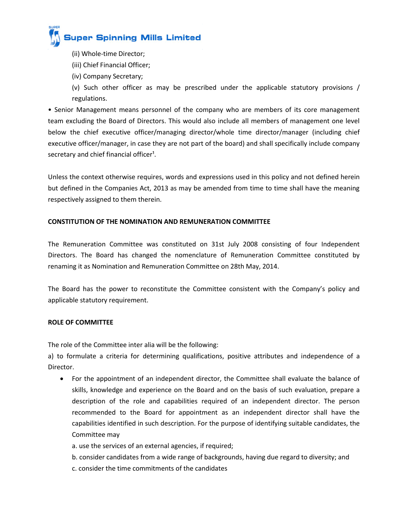

- (ii) Whole‐time Director;
- (iii) Chief Financial Officer;
- (iv) Company Secretary;
- (v) Such other officer as may be prescribed under the applicable statutory provisions / regulations.

• Senior Management means personnel of the company who are members of its core management team excluding the Board of Directors. This would also include all members of management one level below the chief executive officer/managing director/whole time director/manager (including chief executive officer/manager, in case they are not part of the board) and shall specifically include company secretary and chief financial officer<sup>1</sup>.

Unless the context otherwise requires, words and expressions used in this policy and not defined herein but defined in the Companies Act, 2013 as may be amended from time to time shall have the meaning respectively assigned to them therein.

## **CONSTITUTION OF THE NOMINATION AND REMUNERATION COMMITTEE**

The Remuneration Committee was constituted on 31st July 2008 consisting of four Independent Directors. The Board has changed the nomenclature of Remuneration Committee constituted by renaming it as Nomination and Remuneration Committee on 28th May, 2014.

The Board has the power to reconstitute the Committee consistent with the Company's policy and applicable statutory requirement.

## **ROLE OF COMMITTEE**

The role of the Committee inter alia will be the following:

a) to formulate a criteria for determining qualifications, positive attributes and independence of a Director.

- For the appointment of an independent director, the Committee shall evaluate the balance of skills, knowledge and experience on the Board and on the basis of such evaluation, prepare a description of the role and capabilities required of an independent director. The person recommended to the Board for appointment as an independent director shall have the capabilities identified in such description. For the purpose of identifying suitable candidates, the Committee may
	- a. use the services of an external agencies, if required;
	- b. consider candidates from a wide range of backgrounds, having due regard to diversity; and
	- c. consider the time commitments of the candidates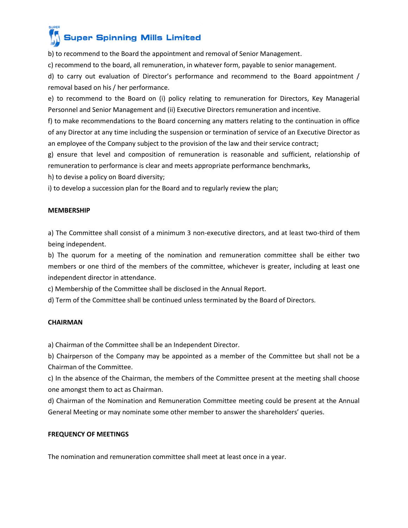

b) to recommend to the Board the appointment and removal of Senior Management.

c) recommend to the board, all remuneration, in whatever form, payable to senior management.

d) to carry out evaluation of Director's performance and recommend to the Board appointment / removal based on his / her performance.

e) to recommend to the Board on (i) policy relating to remuneration for Directors, Key Managerial Personnel and Senior Management and (ii) Executive Directors remuneration and incentive.

f) to make recommendations to the Board concerning any matters relating to the continuation in office of any Director at any time including the suspension or termination of service of an Executive Director as an employee of the Company subject to the provision of the law and their service contract;

g) ensure that level and composition of remuneration is reasonable and sufficient, relationship of remuneration to performance is clear and meets appropriate performance benchmarks,

h) to devise a policy on Board diversity;

i) to develop a succession plan for the Board and to regularly review the plan;

### **MEMBERSHIP**

a) The Committee shall consist of a minimum 3 non‐executive directors, and at least two-third of them being independent.

b) The quorum for a meeting of the nomination and remuneration committee shall be either two members or one third of the members of the committee, whichever is greater, including at least one independent director in attendance.

c) Membership of the Committee shall be disclosed in the Annual Report.

d) Term of the Committee shall be continued unless terminated by the Board of Directors.

## **CHAIRMAN**

a) Chairman of the Committee shall be an Independent Director.

b) Chairperson of the Company may be appointed as a member of the Committee but shall not be a Chairman of the Committee.

c) In the absence of the Chairman, the members of the Committee present at the meeting shall choose one amongst them to act as Chairman.

d) Chairman of the Nomination and Remuneration Committee meeting could be present at the Annual General Meeting or may nominate some other member to answer the shareholders' queries.

## **FREQUENCY OF MEETINGS**

The nomination and remuneration committee shall meet at least once in a year.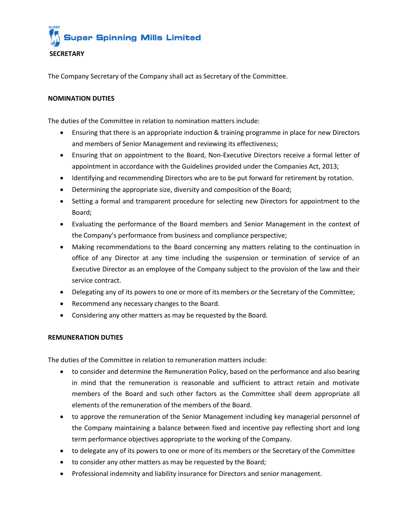

The Company Secretary of the Company shall act as Secretary of the Committee.

## **NOMINATION DUTIES**

The duties of the Committee in relation to nomination matters include:

- Ensuring that there is an appropriate induction & training programme in place for new Directors and members of Senior Management and reviewing its effectiveness;
- Ensuring that on appointment to the Board, Non‐Executive Directors receive a formal letter of appointment in accordance with the Guidelines provided under the Companies Act, 2013;
- Identifying and recommending Directors who are to be put forward for retirement by rotation.
- Determining the appropriate size, diversity and composition of the Board;
- Setting a formal and transparent procedure for selecting new Directors for appointment to the Board;
- Evaluating the performance of the Board members and Senior Management in the context of the Company's performance from business and compliance perspective;
- Making recommendations to the Board concerning any matters relating to the continuation in office of any Director at any time including the suspension or termination of service of an Executive Director as an employee of the Company subject to the provision of the law and their service contract.
- Delegating any of its powers to one or more of its members or the Secretary of the Committee;
- Recommend any necessary changes to the Board.
- Considering any other matters as may be requested by the Board.

#### **REMUNERATION DUTIES**

The duties of the Committee in relation to remuneration matters include:

- to consider and determine the Remuneration Policy, based on the performance and also bearing in mind that the remuneration is reasonable and sufficient to attract retain and motivate members of the Board and such other factors as the Committee shall deem appropriate all elements of the remuneration of the members of the Board.
- to approve the remuneration of the Senior Management including key managerial personnel of the Company maintaining a balance between fixed and incentive pay reflecting short and long term performance objectives appropriate to the working of the Company.
- to delegate any of its powers to one or more of its members or the Secretary of the Committee
- to consider any other matters as may be requested by the Board;
- Professional indemnity and liability insurance for Directors and senior management.